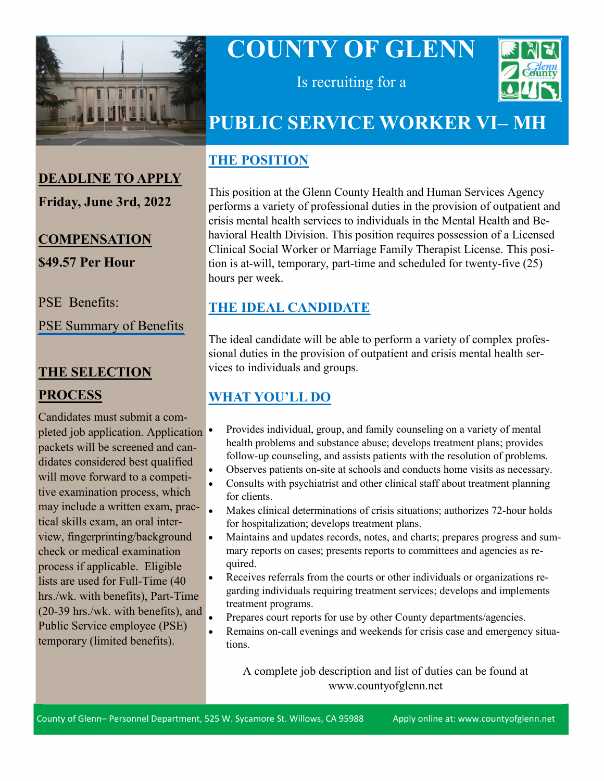

# **COUNTY OF GLENN**



Is recruiting for a

# **PUBLIC SERVICE WORKER VI– MH**

#### **THE POSITION**

This position at the Glenn County Health and Human Services Agency performs a variety of professional duties in the provision of outpatient and crisis mental health services to individuals in the Mental Health and Behavioral Health Division. This position requires possession of a Licensed Clinical Social Worker or Marriage Family Therapist License. This position is at-will, temporary, part-time and scheduled for twenty-five (25) hours per week.

## **THE IDEAL CANDIDATE**

The ideal candidate will be able to perform a variety of complex professional duties in the provision of outpatient and crisis mental health services to individuals and groups.

# **WHAT YOU'LL DO**

- Provides individual, group, and family counseling on a variety of mental health problems and substance abuse; develops treatment plans; provides follow-up counseling, and assists patients with the resolution of problems.
- Observes patients on-site at schools and conducts home visits as necessary.
- Consults with psychiatrist and other clinical staff about treatment planning for clients.
- Makes clinical determinations of crisis situations; authorizes 72-hour holds for hospitalization; develops treatment plans.
- Maintains and updates records, notes, and charts; prepares progress and summary reports on cases; presents reports to committees and agencies as required.
- Receives referrals from the courts or other individuals or organizations regarding individuals requiring treatment services; develops and implements treatment programs.
- Prepares court reports for use by other County departments/agencies.
- Remains on-call evenings and weekends for crisis case and emergency situations.

A complete job description and list of duties can be found at www.countyofglenn.net

# **DEADLINE TO APPLY**

**Friday, June 3rd, 2022**

# **COMPENSATION \$49.57 Per Hour**

PSE Benefits:

[PSE Summary of Benefits](https://www.countyofglenn.net/sites/default/files/Personnel/MOU/GCPERL%2013-%20PSE.pdf)

# **THE SELECTION PROCESS**

Candidates must submit a completed job application. Application • packets will be screened and candidates considered best qualified will move forward to a competitive examination process, which may include a written exam, practical skills exam, an oral interview, fingerprinting/background check or medical examination process if applicable. Eligible lists are used for Full-Time (40 hrs./wk. with benefits), Part-Time (20-39 hrs./wk. with benefits), and Public Service employee (PSE) temporary (limited benefits).